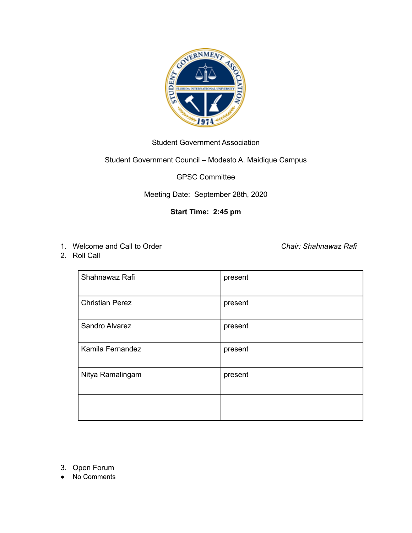

## Student Government Association

### Student Government Council – Modesto A. Maidique Campus

GPSC Committee

## Meeting Date: September 28th, 2020

# **Start Time: 2:45 pm**

1. Welcome and Call to Order *Chair: Shahnawaz Rafi*

2. Roll Call

| Shahnawaz Rafi         | present |
|------------------------|---------|
| <b>Christian Perez</b> | present |
| Sandro Alvarez         | present |
| Kamila Fernandez       | present |
| Nitya Ramalingam       | present |
|                        |         |

3. Open Forum

● No Comments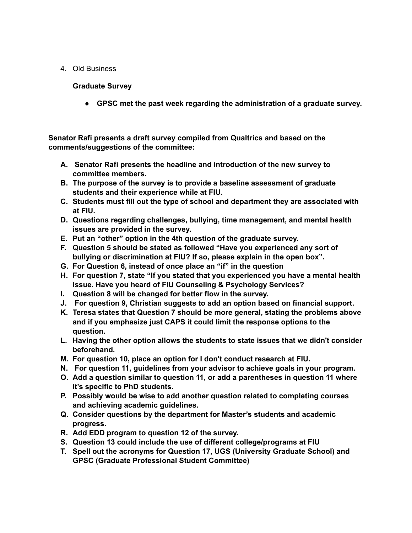4. Old Business

**Graduate Survey** 

**● GPSC met the past week regarding the administration of a graduate survey.** 

**Senator Rafi presents a draft survey compiled from Qualtrics and based on the comments/suggestions of the committee:** 

- **A. Senator Rafi presents the headline and introduction of the new survey to committee members.**
- **B. The purpose of the survey is to provide a baseline assessment of graduate students and their experience while at FIU.**
- **C. Students must fill out the type of school and department they are associated with at FIU.**
- **D. Questions regarding challenges, bullying, time management, and mental health issues are provided in the survey.**
- **E. Put an "other" option in the 4th question of the graduate survey.**
- **F. Question 5 should be stated as followed "Have you experienced any sort of bullying or discrimination at FIU? If so, please explain in the open box".**
- **G. For Question 6, instead of once place an "if" in the question**
- **H. For question 7, state "If you stated that you experienced you have a mental health issue. Have you heard of FIU Counseling & Psychology Services?**
- **I. Question 8 will be changed for better flow in the survey.**
- **J. For question 9, Christian suggests to add an option based on financial support.**
- **K. Teresa states that Question 7 should be more general, stating the problems above and if you emphasize just CAPS it could limit the response options to the question.**
- **L. Having the other option allows the students to state issues that we didn't consider beforehand.**
- **M. For question 10, place an option for I don't conduct research at FIU.**
- **N. For question 11, guidelines from your advisor to achieve goals in your program.**
- **O. Add a question similar to question 11, or add a parentheses in question 11 where it's specific to PhD students.**
- **P. Possibly would be wise to add another question related to completing courses and achieving academic guidelines.**
- **Q. Consider questions by the department for Master's students and academic progress.**
- **R. Add EDD program to question 12 of the survey.**
- **S. Question 13 could include the use of different college/programs at FIU**
- **T. Spell out the acronyms for Question 17, UGS (University Graduate School) and GPSC (Graduate Professional Student Committee)**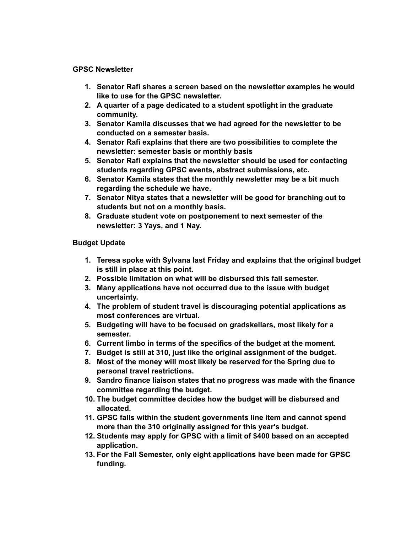#### **GPSC Newsletter**

- **1. Senator Rafi shares a screen based on the newsletter examples he would like to use for the GPSC newsletter.**
- **2. A quarter of a page dedicated to a student spotlight in the graduate community.**
- **3. Senator Kamila discusses that we had agreed for the newsletter to be conducted on a semester basis.**
- **4. Senator Rafi explains that there are two possibilities to complete the newsletter: semester basis or monthly basis**
- **5. Senator Rafi explains that the newsletter should be used for contacting students regarding GPSC events, abstract submissions, etc.**
- **6. Senator Kamila states that the monthly newsletter may be a bit much regarding the schedule we have.**
- **7. Senator Nitya states that a newsletter will be good for branching out to students but not on a monthly basis.**
- **8. Graduate student vote on postponement to next semester of the newsletter: 3 Yays, and 1 Nay.**

### **Budget Update**

- **1. Teresa spoke with Sylvana last Friday and explains that the original budget is still in place at this point.**
- **2. Possible limitation on what will be disbursed this fall semester.**
- **3. Many applications have not occurred due to the issue with budget uncertainty.**
- **4. The problem of student travel is discouraging potential applications as most conferences are virtual.**
- **5. Budgeting will have to be focused on gradskellars, most likely for a semester.**
- **6. Current limbo in terms of the specifics of the budget at the moment.**
- **7. Budget is still at 310, just like the original assignment of the budget.**
- **8. Most of the money will most likely be reserved for the Spring due to personal travel restrictions.**
- **9. Sandro finance liaison states that no progress was made with the finance committee regarding the budget.**
- **10. The budget committee decides how the budget will be disbursed and allocated.**
- **11. GPSC falls within the student governments line item and cannot spend more than the 310 originally assigned for this year's budget.**
- **12. Students may apply for GPSC with a limit of \$400 based on an accepted application.**
- **13. For the Fall Semester, only eight applications have been made for GPSC funding.**